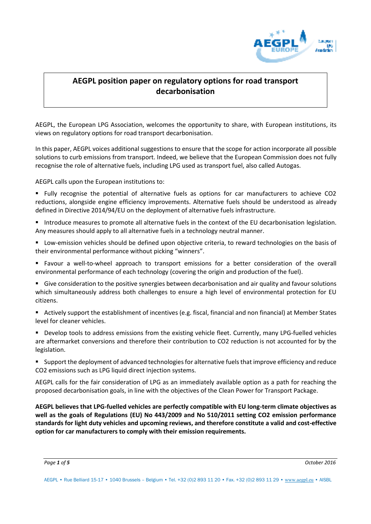

# **AEGPL position paper on regulatory options for road transport decarbonisation**

AEGPL, the European LPG Association, welcomes the opportunity to share, with European institutions, its views on regulatory options for road transport decarbonisation.

In this paper, AEGPL voices additional suggestions to ensure that the scope for action incorporate all possible solutions to curb emissions from transport. Indeed, we believe that the European Commission does not fully recognise the role of alternative fuels, including LPG used as transport fuel, also called Autogas.

AEGPL calls upon the European institutions to:

- Fully recognise the potential of alternative fuels as options for car manufacturers to achieve CO2 reductions, alongside engine efficiency improvements. Alternative fuels should be understood as already defined in Directive 2014/94/EU on the deployment of alternative fuels infrastructure.
- Introduce measures to promote all alternative fuels in the context of the EU decarbonisation legislation. Any measures should apply to all alternative fuels in a technology neutral manner.
- Low-emission vehicles should be defined upon objective criteria, to reward technologies on the basis of their environmental performance without picking "winners".
- Favour a well-to-wheel approach to transport emissions for a better consideration of the overall environmental performance of each technology (covering the origin and production of the fuel).
- Give consideration to the positive synergies between decarbonisation and air quality and favour solutions which simultaneously address both challenges to ensure a high level of environmental protection for EU citizens.
- Actively support the establishment of incentives (e.g. fiscal, financial and non financial) at Member States level for cleaner vehicles.
- Develop tools to address emissions from the existing vehicle fleet. Currently, many LPG-fuelled vehicles are aftermarket conversions and therefore their contribution to CO2 reduction is not accounted for by the legislation.
- Support the deployment of advanced technologies for alternative fuels that improve efficiency and reduce CO2 emissions such as LPG liquid direct injection systems.

AEGPL calls for the fair consideration of LPG as an immediately available option as a path for reaching the proposed decarbonisation goals, in line with the objectives of the Clean Power for Transport Package.

**AEGPL believes that LPG-fuelled vehicles are perfectly compatible with EU long-term climate objectives as well as the goals of Regulations (EU) No 443/2009 and No 510/2011 setting CO2 emission performance standards for light duty vehicles and upcoming reviews, and therefore constitute a valid and cost-effective option for car manufacturers to comply with their emission requirements.** 

*Page 1 of 5 October 2016*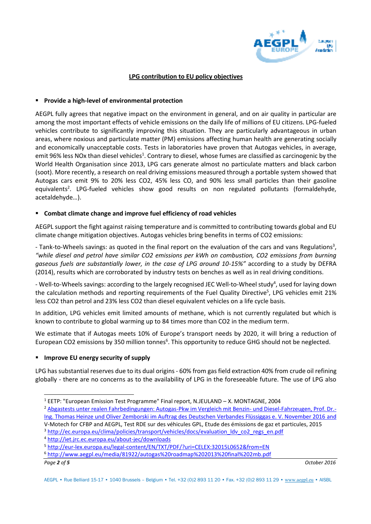

#### **LPG contribution to EU policy objectives**

#### **Provide a high-level of environmental protection**

AEGPL fully agrees that negative impact on the environment in general, and on air quality in particular are among the most important effects of vehicle emissions on the daily life of millions of EU citizens. LPG-fueled vehicles contribute to significantly improving this situation. They are particularly advantageous in urban areas, where noxious and particulate matter (PM) emissions affecting human health are generating socially and economically unacceptable costs. Tests in laboratories have proven that Autogas vehicles, in average, emit 96% less NOx than diesel vehicles<sup>1</sup>. Contrary to diesel, whose fumes are classified as carcinogenic by the World Health Organisation since 2013, LPG cars generate almost no particulate matters and black carbon (soot). More recently, a research on real driving emissions measured through a portable system showed that Autogas cars emit 9% to 20% less CO2, 45% less CO, and 90% less small particles than their gasoline equivalents<sup>2</sup>. LPG-fueled vehicles show good results on non regulated pollutants (formaldehyde, acetaldehyde…).

#### **Combat climate change and improve fuel efficiency of road vehicles**

AEGPL support the fight against raising temperature and is committed to contributing towards global and EU climate change mitigation objectives. Autogas vehicles bring benefits in terms of CO2 emissions:

- Tank-to-Wheels savings: as quoted in the final report on the evaluation of the cars and vans Regulations<sup>3</sup>, *"while diesel and petrol have similar CO2 emissions per kWh on combustion, CO2 emissions from burning gaseous fuels are substantially lower, in the case of LPG around 10-15%"* according to a study by DEFRA (2014), results which are corroborated by industry tests on benches as well as in real driving conditions.

- Well-to-Wheels savings: according to the largely recognised JEC Well-to-Wheel study<sup>4</sup>, used for laying down the calculation methods and reporting requirements of the Fuel Quality Directive<sup>5</sup>, LPG vehicles emit 21% less CO2 than petrol and 23% less CO2 than diesel equivalent vehicles on a life cycle basis.

In addition, LPG vehicles emit limited amounts of methane, which is not currently regulated but which is known to contribute to global warming up to 84 times more than CO2 in the medium term.

We estimate that if Autogas meets 10% of Europe's transport needs by 2020, it will bring a reduction of European CO2 emissions by 350 million tonnes<sup>6</sup>. This opportunity to reduce GHG should not be neglected.

#### **Improve EU energy security of supply**

LPG has substantial reserves due to its dual origins - 60% from gas field extraction 40% from crude oil refining globally - there are no concerns as to the availability of LPG in the foreseeable future. The use of LPG also

*Page 2 of 5 October 2016*

 $\overline{a}$ <sup>1</sup> EETP: "European Emission Test Programme" Final report, N.JEULAND - X. MONTAGNE, 2004

<sup>&</sup>lt;sup>2</sup> Abgastest<u>s unter realen Fahrbedingungen: Autogas-Pkw im Vergleich mit Benzin- und Diesel-Fahrzeugen, Prof. Dr.-</u> [Ing. Thomas Heinze und Oliver Zemborski im Auftrag des Deutschen Verbandes Flüssiggas e. V. November 2016 a](http://dvfg.de/fileadmin/user_upload/Downloads_Infothek/HTW-Untersuchung_PEMS-RDE-WLTC-bei-LPG-Benzin-Diesel-Pkw.pdf)nd V-Motech for CFBP and AEGPL, Test RDE sur des véhicules GPL, Etude des émissions de gaz et particules, 2015

<sup>&</sup>lt;sup>3</sup> http://ec.europa.eu/clima/policies/transport/vehicles/docs/evaluation\_ldv\_co2\_regs\_en.pdf

<sup>4</sup> <http://iet.jrc.ec.europa.eu/about-jec/downloads>

<sup>5</sup> <http://eur-lex.europa.eu/legal-content/EN/TXT/PDF/?uri=CELEX:32015L0652&from=EN>

<sup>6</sup> <http://www.aegpl.eu/media/81922/autogas%20roadmap%202013%20final%202mb.pdf>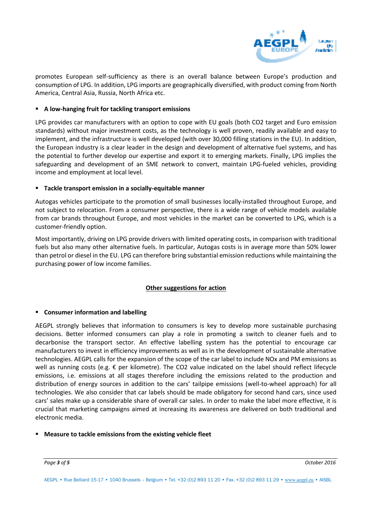

promotes European self-sufficiency as there is an overall balance between Europe's production and consumption of LPG. In addition, LPG imports are geographically diversified, with product coming from North America, Central Asia, Russia, North Africa etc.

#### **A low-hanging fruit for tackling transport emissions**

LPG provides car manufacturers with an option to cope with EU goals (both CO2 target and Euro emission standards) without major investment costs, as the technology is well proven, readily available and easy to implement, and the infrastructure is well developed (with over 30,000 filling stations in the EU). In addition, the European industry is a clear leader in the design and development of alternative fuel systems, and has the potential to further develop our expertise and export it to emerging markets. Finally, LPG implies the safeguarding and development of an SME network to convert, maintain LPG-fueled vehicles, providing income and employment at local level.

#### **Tackle transport emission in a socially-equitable manner**

Autogas vehicles participate to the promotion of small businesses locally-installed throughout Europe, and not subject to relocation. From a consumer perspective, there is a wide range of vehicle models available from car brands throughout Europe, and most vehicles in the market can be converted to LPG, which is a customer-friendly option.

Most importantly, driving on LPG provide drivers with limited operating costs, in comparison with traditional fuels but also many other alternative fuels. In particular, Autogas costs is in average more than 50% lower than petrol or diesel in the EU. LPG can therefore bring substantial emission reductions while maintaining the purchasing power of low income families.

#### **Other suggestions for action**

#### **Consumer information and labelling**

AEGPL strongly believes that information to consumers is key to develop more sustainable purchasing decisions. Better informed consumers can play a role in promoting a switch to cleaner fuels and to decarbonise the transport sector. An effective labelling system has the potential to encourage car manufacturers to invest in efficiency improvements as well as in the development of sustainable alternative technologies. AEGPL calls for the expansion of the scope of the car label to include NOx and PM emissions as well as running costs (e.g. € per kilometre). The CO2 value indicated on the label should reflect lifecycle emissions, i.e. emissions at all stages therefore including the emissions related to the production and distribution of energy sources in addition to the cars' tailpipe emissions (well-to-wheel approach) for all technologies. We also consider that car labels should be made obligatory for second hand cars, since used cars' sales make up a considerable share of overall car sales. In order to make the label more effective, it is crucial that marketing campaigns aimed at increasing its awareness are delivered on both traditional and electronic media.

#### **Measure to tackle emissions from the existing vehicle fleet**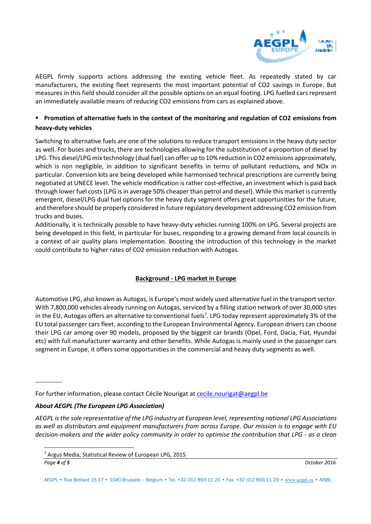

AEGPL firmly supports actions addressing the existing vehicle fleet. As repeatedly stated by car manufacturers, the existing fleet represents the most important potential of CO2 savings in Europe. But measures in this field should consider all the possible options on an equal footing. LPG fuelled cars represent an immediately available means of reducing CO2 emissions from cars as explained above.

## **Promotion of alternative fuels in the context of the monitoring and regulation of CO2 emissions from heavy-duty vehicles**

Switching to alternative fuels are one of the solutions to reduce transport emissions in the heavy duty sector as well. For buses and trucks, there are technologies allowing for the substitution of a proportion of diesel by LPG. This diesel/LPG mix technology (dual fuel) can offer up to 10% reduction in CO2 emissions approximately, which is non negligible, in addition to significant benefits in terms of pollutant reductions, and NOx in particular. Conversion kits are being developed while harmonised technical prescriptions are currently being negotiated at UNECE level. The vehicle modification is rather cost-effective, an investment which is paid back through lower fuel costs (LPG is in average 50% cheaper than petrol and diesel). While this market is currently emergent, diesel/LPG dual fuel options for the heavy duty segment offers great opportunities for the future, and therefore should be properly considered in future regulatory development addressing CO2 emission from trucks and buses.

Additionally, it is technically possible to have heavy-duty vehicles running 100% on LPG. Several projects are being developed in this field, in particular for buses, responding to a growing demand from local councils in a context of air quality plans implementation. Boosting the introduction of this technology in the market could contribute to higher rates of CO2 emission reduction with Autogas.

### **Background - LPG market in Europe**

Automotive LPG, also known as Autogas, is Europe's most widely used alternative fuel in the transport sector. With 7,800,000 vehicles already running on Autogas, serviced by a filling station network of over 30,000 sites in the EU, Autogas offers an alternative to conventional fuels<sup>7</sup>. LPG today represent approximately 3% of the EU total passenger cars fleet, according to the European Environmental Agency. European drivers can choose their LPG car among over 90 models, proposed by the biggest car brands (Opel, Ford, Dacia, Fiat, Hyundai etc) with full manufacturer warranty and other benefits. While Autogas is mainly used in the passenger cars segment in Europe, it offers some opportunities in the commercial and heavy duty segments as well.

-------------

For further information, please contact Cécile Nourigat at cecile.nourigat@aegpl.be

#### *About AEGPL (The European LPG Association)*

*AEGPL is the sole representative of the LPG industry at European level, representing national LPG Associations as well as distributors and equipment manufacturers from across Europe. Our mission is to engage with EU decision-makers and the wider policy community in order to optimise the contribution that LPG - as a clean* 

 $\overline{a}$ 

<sup>&</sup>lt;sup>7</sup> Argus Media, Statistical Review of European LPG, 2015